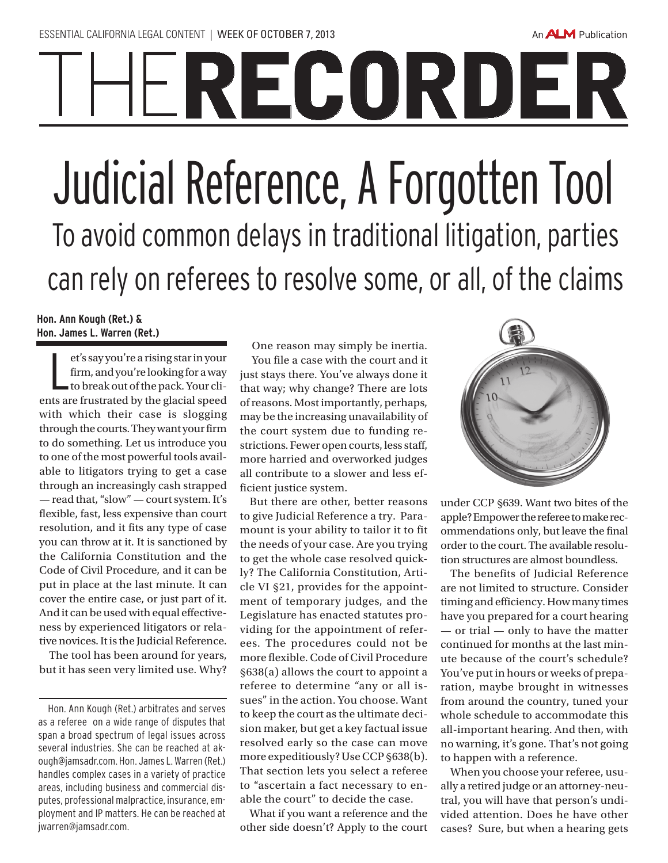## **IHERECORDER** Judicial Reference, A Forgotten Tool To avoid common delays in traditional litigation, parties

can rely on referees to resolve some, or all, of the claims

## **Hon. Ann Kough (Ret.) & Hon. James L. Warren (Ret.)**

L et's say you're a rising star in your firm, and you're looking for a way to break out of the pack. Your clients are frustrated by the glacial speed with which their case is slogging through the courts. They want your firm to do something. Let us introduce you to one of the most powerful tools available to litigators trying to get a case through an increasingly cash strapped — read that, "slow" — court system. It's flexible, fast, less expensive than court resolution, and it fits any type of case you can throw at it. It is sanctioned by the California Constitution and the Code of Civil Procedure, and it can be put in place at the last minute. It can cover the entire case, or just part of it. And it can be used with equal effectiveness by experienced litigators or relative novices. It is the Judicial Reference.

The tool has been around for years, but it has seen very limited use. Why?

One reason may simply be inertia. You file a case with the court and it just stays there. You've always done it that way; why change? There are lots of reasons. Most importantly, perhaps, may be the increasing unavailability of the court system due to funding restrictions. Fewer open courts, less staff, more harried and overworked judges all contribute to a slower and less efficient justice system.

But there are other, better reasons to give Judicial Reference a try. Paramount is your ability to tailor it to fit the needs of your case. Are you trying to get the whole case resolved quickly? The California Constitution, Article VI §21, provides for the appointment of temporary judges, and the Legislature has enacted statutes providing for the appointment of referees. The procedures could not be more flexible. Code of Civil Procedure §638(a) allows the court to appoint a referee to determine "any or all issues" in the action. You choose. Want to keep the court as the ultimate decision maker, but get a key factual issue resolved early so the case can move more expeditiously? Use CCP §638(b). That section lets you select a referee to "ascertain a fact necessary to enable the court" to decide the case.

What if you want a reference and the other side doesn't? Apply to the court



An **ALM** Publication

under CCP §639. Want two bites of the apple? Empower the referee to make recommendations only, but leave the final order to the court. The available resolution structures are almost boundless.

The benefits of Judicial Reference are not limited to structure. Consider timing and efficiency. How many times have you prepared for a court hearing — or trial — only to have the matter continued for months at the last minute because of the court's schedule? You've put in hours or weeks of preparation, maybe brought in witnesses from around the country, tuned your whole schedule to accommodate this all-important hearing. And then, with no warning, it's gone. That's not going to happen with a reference.

When you choose your referee, usually a retired judge or an attorney-neutral, you will have that person's undivided attention. Does he have other cases? Sure, but when a hearing gets

Hon. Ann Kough (Ret.) arbitrates and serves as a referee on a wide range of disputes that span a broad spectrum of legal issues across several industries. She can be reached at akough@jamsadr.com. Hon. James L. Warren (Ret.) handles complex cases in a variety of practice areas, including business and commercial disputes, professional malpractice, insurance, employment and IP matters. He can be reached at jwarren@jamsadr.com.